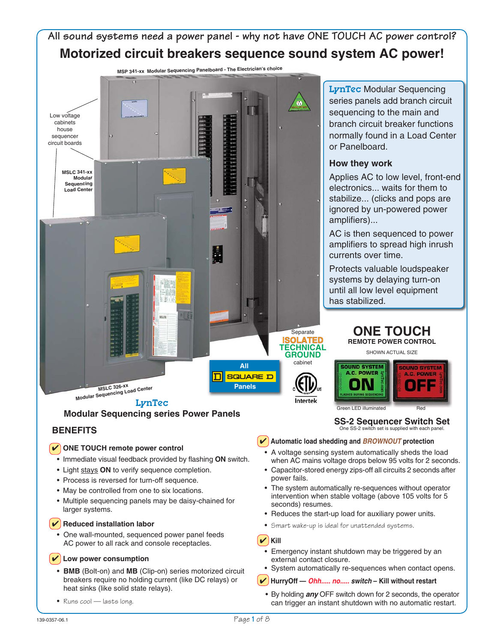# **All sound systems need a power panel - why not have ONE TOUCH AC power control? Motorized circuit breakers sequence sound system AC power!**

**MSP 341-xx Modular Sequencing Panelboard - The Electrician's choice**



**Modular Sequencing series Power Panels** 

# **BENEFITS**

# ✔ **ONE TOUCH remote power control**

- Immediate visual feedback provided by flashing **ON** switch.
- Light stays **ON** to verify sequence completion.
- Process is reversed for turn-off sequence.
- May be controlled from one to six locations.
- Multiple sequencing panels may be daisy-chained for larger systems.

# ✔ **Reduced installation labor**

• One wall-mounted, sequenced power panel feeds AC power to all rack and console receptacles.

# ✔ **Low power consumption**

- **BMB** (Bolt-on) and **MB** (Clip-on) series motorized circuit breakers require no holding current (like DC relays) or heat sinks (like solid state relays).
- Runs cool lasts long.

Green LED illuminated

### **SS-2 Sequencer Switch Set** One SS-2 switch set is supplied with each panel.

**OUND SYSTEM** 

**A.C. POWER** 

OFF

# ✔ **Automatic load shedding and** *BROWNOUT* **protection**

- A voltage sensing system automatically sheds the load when AC mains voltage drops below 95 volts for 2 seconds.
- Capacitor-stored energy zips-off all circuits 2 seconds after power fails.
- The system automatically re-sequences without operator intervention when stable voltage (above 105 volts for 5 seconds) resumes.
- Reduces the start-up load for auxiliary power units.
- Smart wake-up is ideal for unattended systems.

# ✔ **Kill**

- Emergency instant shutdown may be triggered by an external contact closure.
- System automatically re-sequences when contact opens.
- ✔ **HurryOff** *Ohh..... no..... switch* **Kill without restart**
- By holding *any* OFF switch down for 2 seconds, the operator can trigger an instant shutdown with no automatic restart.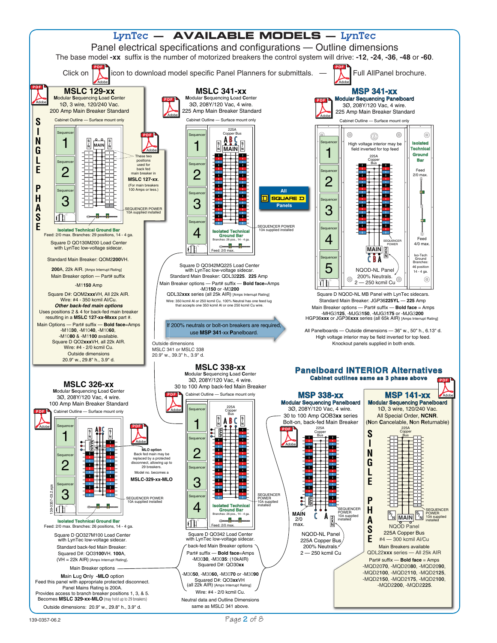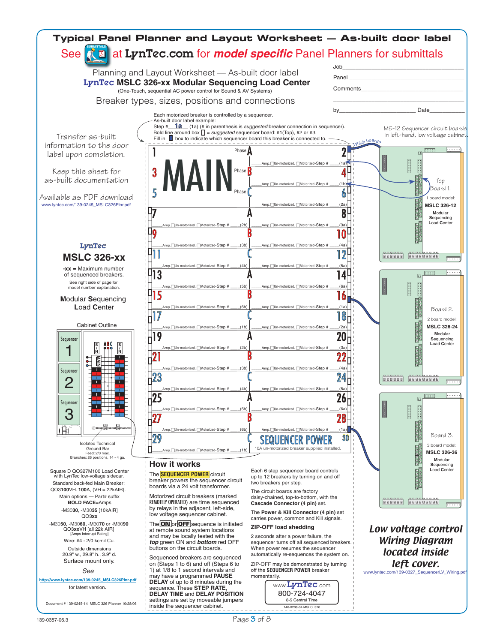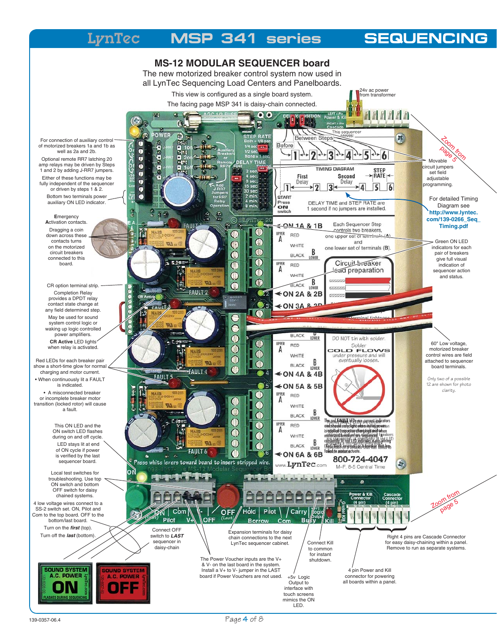# LynTec **MSP 341 series SEQUENCING**



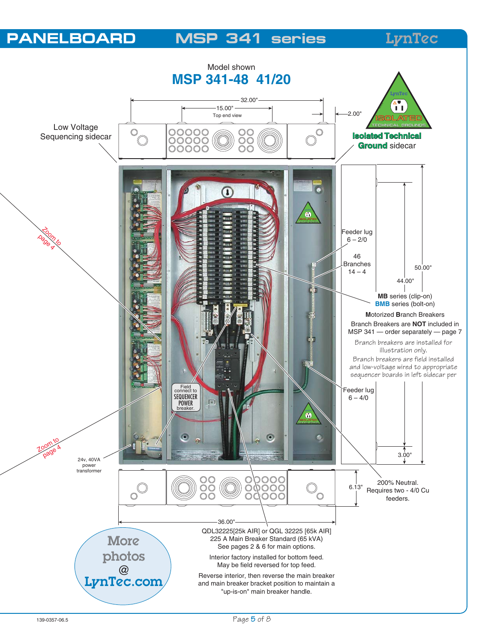#### **PANELBOARD MSP 341 series** LynTec Model shown **MSP 341-48 41/20** LynTec  $-32.00"$ f 15.00" ĩт 2.00" Top end view **-730%8)(** Experiencing sidecar **ISO 20000**<br> **ISOLATE REQUESTED ISOLated Technical**<br> **ISOLATE REGISTED ISOLated Technical**<br> **ISOLATE REGISTED ISOLated Technical** Low Voltage TECHNICAL GROUNDS **Ground** sidecar T ø **-730%8)( Zoom** to Feeder lug page 11  $6 - 2/0$ 46 Branches 50.00"  $14 - 4$ 44.00" 冒 **MB** series (clip-on) **BMB** series (bolt-on) **M**otorized **B**ranch Breakers Branch Breakers are **NOT** included in MSP 341 — order separately — page 7 葡 Branch breakers are installed for illustration only. Branch breakers are field installed and low-voltage wired to appropriate sequencer boards in left sidecar per Field connect to Feeder lug **SEQUENCER**  $6 - 4/0$ POWER breaker.  $\overline{\mathbf{a}}$ r **-730%8)(**  $\overline{\bullet}$  $\odot$ Zoom to page 4 3.00" 24v, 40VA power transformer 00000<br>00000<br>00000  $\circ^\circ$ 00<br>00<br>00 200% Neutral.  $\circledcirc$ 6.13" Requires two - 4/0 Cu  $\hat{\odot}$ feeders. 36.00" QDL32225[25k AIR] or QGL 32225 [65k AIR] **More** 225 A Main Breaker Standard (65 kVA) See pages 2 & 6 for main options. photos Interior factory installed for bottom feed. May be field reversed for top feed. @ Reverse interior, then reverse the main breaker [LynTec.com](http://www.lyntec.com/msp.htm) and main breaker bracket position to maintain a "up-is-on" main breaker handle.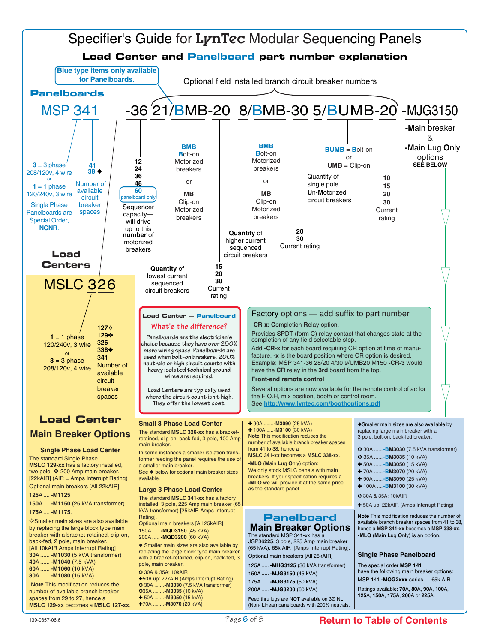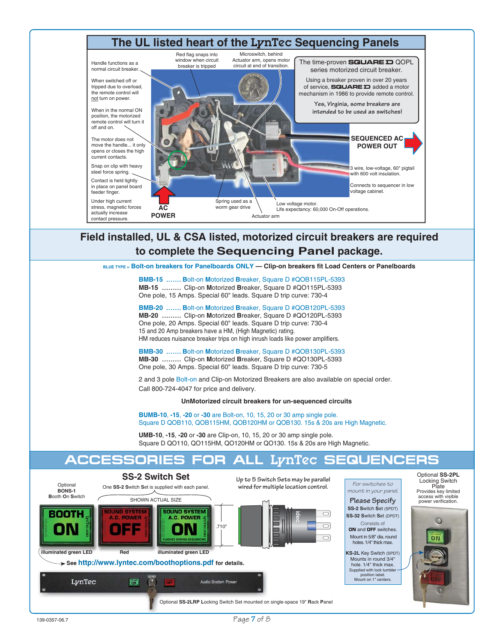



Optional **SS-2LRP L**ocking Switch Set mounted on single-space 19" **R**ack **P**anel

 Mount in 5/8" dia. round holes. 1/4" thick max. **KS-2L** Key Switch (SPDT) Mounts in round 3/4" hole. 1/4" thick max. Supplied with lock tumbler position label. Mount on 1" centers.

<sup>139-0357-06.7</sup> Page **7** of 8